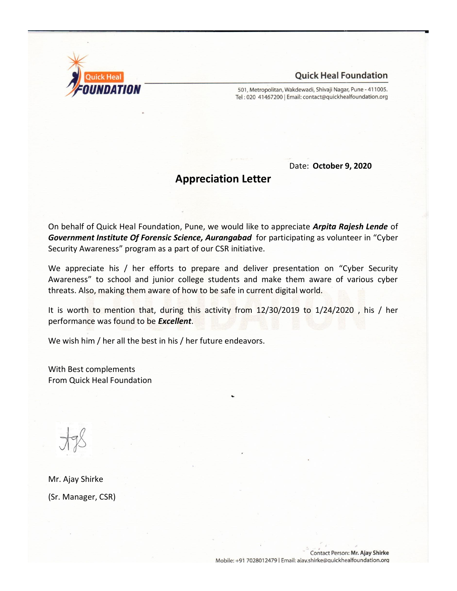

501, Metropolitan, Wakdewadi, Shivaji Nagar, Pune - 411005. Tel: 020 41467200 | Email: contact@quickhealfoundation.org

Date: **October 9, 2020**

# **Appreciation Letter**

On behalf of Quick Heal Foundation, Pune, we would like to appreciate *Arpita Rajesh Lende* of *Government Institute Of Forensic Science, Aurangabad* for participating as volunteer in "Cyber Security Awareness" program as a part of our CSR initiative.

We appreciate his / her efforts to prepare and deliver presentation on "Cyber Security Awareness" to school and junior college students and make them aware of various cyber threats. Also, making them aware of how to be safe in current digital world.

It is worth to mention that, during this activity from 12/30/2019 to 1/24/2020 , his / her performance was found to be *Excellent*.

We wish him / her all the best in his / her future endeavors.

With Best complements From Quick Heal Foundation

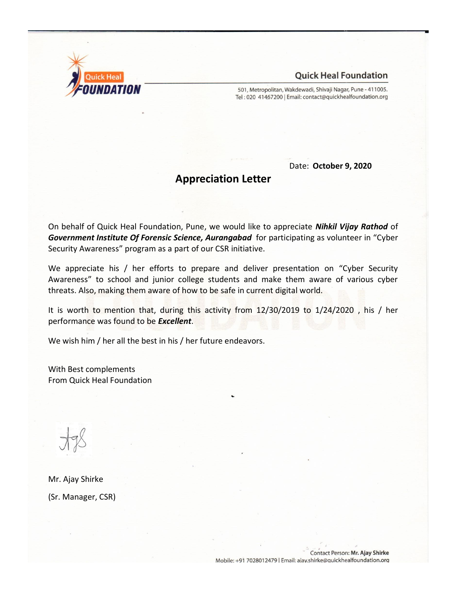

501, Metropolitan, Wakdewadi, Shivaji Nagar, Pune - 411005. Tel: 020 41467200 | Email: contact@quickhealfoundation.org

Date: **October 9, 2020**

# **Appreciation Letter**

On behalf of Quick Heal Foundation, Pune, we would like to appreciate *Nihkil Vijay Rathod* of *Government Institute Of Forensic Science, Aurangabad* for participating as volunteer in "Cyber Security Awareness" program as a part of our CSR initiative.

We appreciate his / her efforts to prepare and deliver presentation on "Cyber Security Awareness" to school and junior college students and make them aware of various cyber threats. Also, making them aware of how to be safe in current digital world.

It is worth to mention that, during this activity from 12/30/2019 to 1/24/2020 , his / her performance was found to be *Excellent*.

We wish him / her all the best in his / her future endeavors.

With Best complements From Quick Heal Foundation

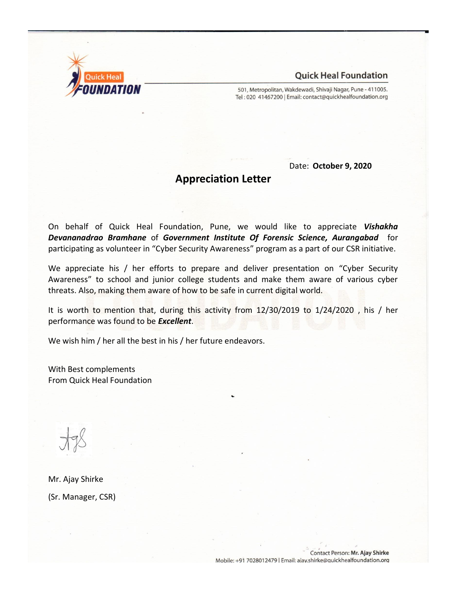

501, Metropolitan, Wakdewadi, Shivaji Nagar, Pune - 411005. Tel: 020 41467200 | Email: contact@quickhealfoundation.org

Date: **October 9, 2020**

# **Appreciation Letter**

On behalf of Quick Heal Foundation, Pune, we would like to appreciate *Vishakha Devananadrao Bramhane* of *Government Institute Of Forensic Science, Aurangabad* for participating as volunteer in "Cyber Security Awareness" program as a part of our CSR initiative.

We appreciate his / her efforts to prepare and deliver presentation on "Cyber Security Awareness" to school and junior college students and make them aware of various cyber threats. Also, making them aware of how to be safe in current digital world.

It is worth to mention that, during this activity from 12/30/2019 to 1/24/2020 , his / her performance was found to be *Excellent*.

We wish him / her all the best in his / her future endeavors.

With Best complements From Quick Heal Foundation

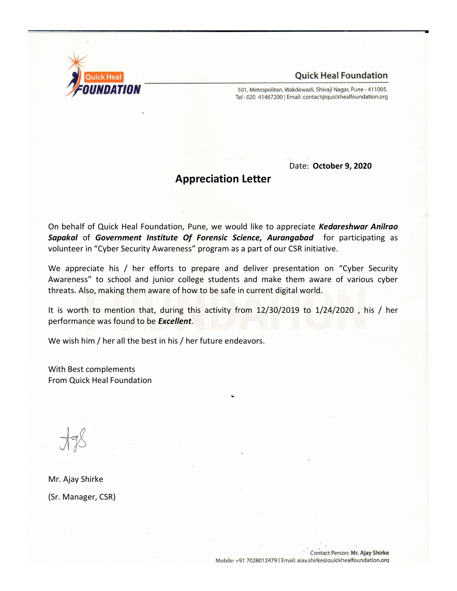

501, Metropolitan, Wakdewadi, Shivaji Nagar, Pune - 411005. Tel: 020 41467200 | Email: contact@quickhealfoundation.org

Date: **October 9, 2020**

# **Appreciation Letter**

On behalf of Quick Heal Foundation, Pune, we would like to appreciate *Kedareshwar Anilrao Sapakal* of *Government Institute Of Forensic Science, Aurangabad* for participating as volunteer in "Cyber Security Awareness" program as a part of our CSR initiative.

We appreciate his / her efforts to prepare and deliver presentation on "Cyber Security Awareness" to school and junior college students and make them aware of various cyber threats. Also, making them aware of how to be safe in current digital world.

It is worth to mention that, during this activity from 12/30/2019 to 1/24/2020 , his / her performance was found to be *Excellent*.

We wish him / her all the best in his / her future endeavors.

With Best complements From Quick Heal Foundation

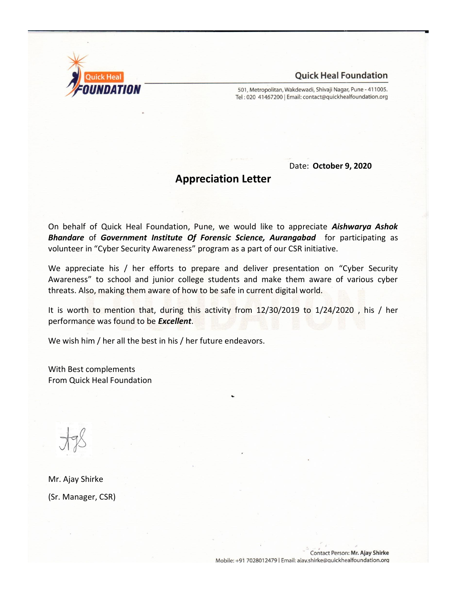

501, Metropolitan, Wakdewadi, Shivaji Nagar, Pune - 411005. Tel: 020 41467200 | Email: contact@quickhealfoundation.org

Date: **October 9, 2020**

# **Appreciation Letter**

On behalf of Quick Heal Foundation, Pune, we would like to appreciate *Aishwarya Ashok Bhandare* of *Government Institute Of Forensic Science, Aurangabad* for participating as volunteer in "Cyber Security Awareness" program as a part of our CSR initiative.

We appreciate his / her efforts to prepare and deliver presentation on "Cyber Security Awareness" to school and junior college students and make them aware of various cyber threats. Also, making them aware of how to be safe in current digital world.

It is worth to mention that, during this activity from 12/30/2019 to 1/24/2020 , his / her performance was found to be *Excellent*.

We wish him / her all the best in his / her future endeavors.

With Best complements From Quick Heal Foundation

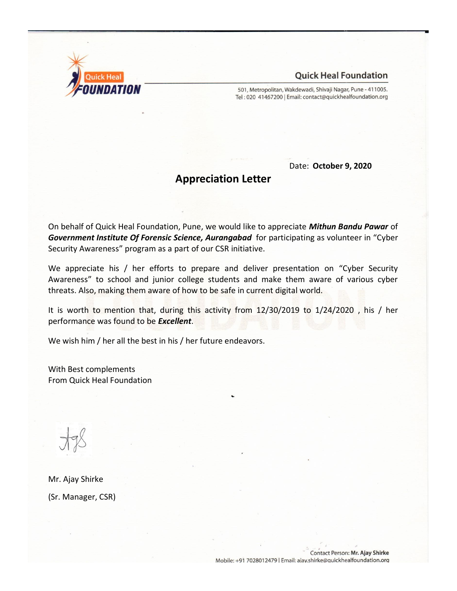

501, Metropolitan, Wakdewadi, Shivaji Nagar, Pune - 411005. Tel: 020 41467200 | Email: contact@quickhealfoundation.org

Date: **October 9, 2020**

# **Appreciation Letter**

On behalf of Quick Heal Foundation, Pune, we would like to appreciate *Mithun Bandu Pawar* of *Government Institute Of Forensic Science, Aurangabad* for participating as volunteer in "Cyber Security Awareness" program as a part of our CSR initiative.

We appreciate his / her efforts to prepare and deliver presentation on "Cyber Security Awareness" to school and junior college students and make them aware of various cyber threats. Also, making them aware of how to be safe in current digital world.

It is worth to mention that, during this activity from 12/30/2019 to 1/24/2020 , his / her performance was found to be *Excellent*.

We wish him / her all the best in his / her future endeavors.

With Best complements From Quick Heal Foundation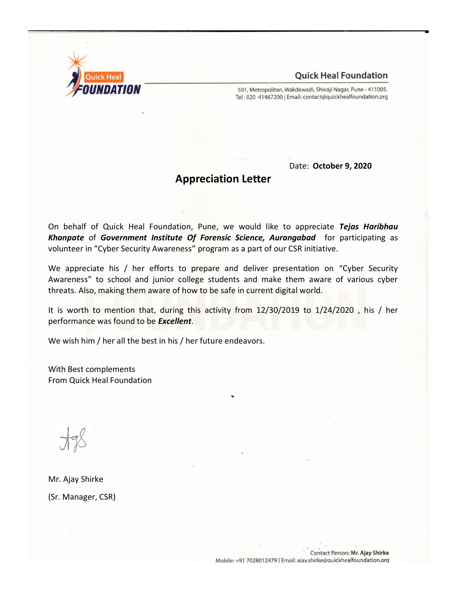

501, Metropolitan, Wakdewadi, Shivaji Nagar, Pune - 411005. Tel: 020 41467200 | Email: contact@quickhealfoundation.org

Date: **October 9, 2020**

# **Appreciation Letter**

On behalf of Quick Heal Foundation, Pune, we would like to appreciate *Tejas Haribhau Khanpate* of *Government Institute Of Forensic Science, Aurangabad* for participating as volunteer in "Cyber Security Awareness" program as a part of our CSR initiative.

We appreciate his / her efforts to prepare and deliver presentation on "Cyber Security Awareness" to school and junior college students and make them aware of various cyber threats. Also, making them aware of how to be safe in current digital world.

It is worth to mention that, during this activity from 12/30/2019 to 1/24/2020 , his / her performance was found to be *Excellent*.

We wish him / her all the best in his / her future endeavors.

With Best complements From Quick Heal Foundation

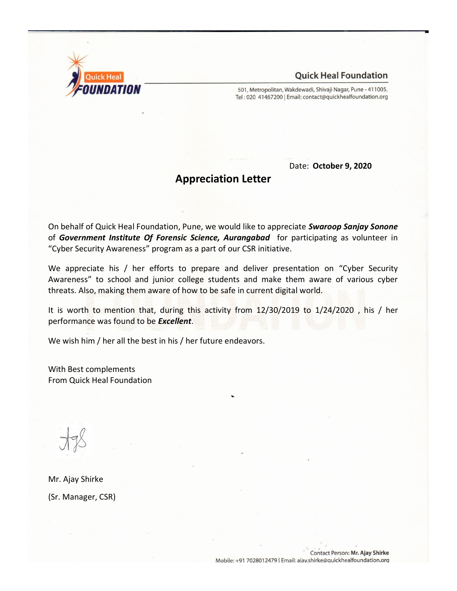

501, Metropolitan, Wakdewadi, Shivaji Nagar, Pune - 411005. Tel: 020 41467200 | Email: contact@quickhealfoundation.org

Date: **October 9, 2020**

# **Appreciation Letter**

On behalf of Quick Heal Foundation, Pune, we would like to appreciate *Swaroop Sanjay Sonone* of *Government Institute Of Forensic Science, Aurangabad* for participating as volunteer in "Cyber Security Awareness" program as a part of our CSR initiative.

We appreciate his / her efforts to prepare and deliver presentation on "Cyber Security Awareness" to school and junior college students and make them aware of various cyber threats. Also, making them aware of how to be safe in current digital world.

It is worth to mention that, during this activity from 12/30/2019 to 1/24/2020 , his / her performance was found to be *Excellent*.

We wish him / her all the best in his / her future endeavors.

With Best complements From Quick Heal Foundation

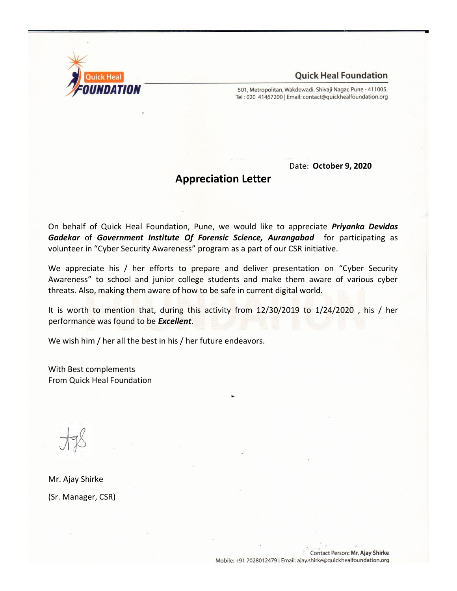

501, Metropolitan, Wakdewadi, Shivaji Nagar, Pune - 411005. Tel: 020 41467200 | Email: contact@quickhealfoundation.org

Date: **October 9, 2020**

# **Appreciation Letter**

On behalf of Quick Heal Foundation, Pune, we would like to appreciate *Priyanka Devidas Gadekar* of *Government Institute Of Forensic Science, Aurangabad* for participating as volunteer in "Cyber Security Awareness" program as a part of our CSR initiative.

We appreciate his / her efforts to prepare and deliver presentation on "Cyber Security Awareness" to school and junior college students and make them aware of various cyber threats. Also, making them aware of how to be safe in current digital world.

It is worth to mention that, during this activity from 12/30/2019 to 1/24/2020 , his / her performance was found to be *Excellent*.

We wish him / her all the best in his / her future endeavors.

With Best complements From Quick Heal Foundation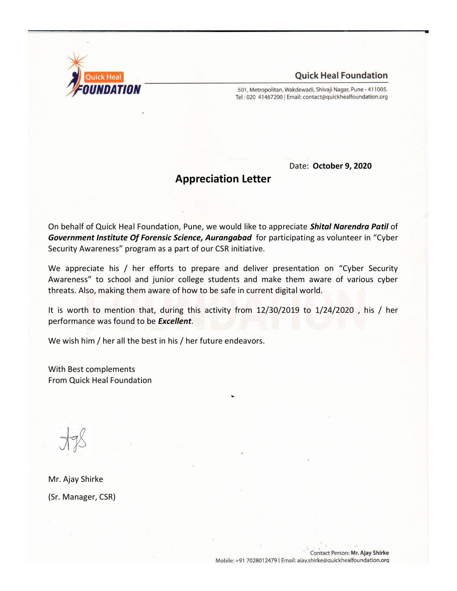

501, Metropolitan, Wakdewadi, Shivaji Nagar, Pune - 411005. Tel: 020 41467200 | Email: contact@quickhealfoundation.org

Date: **October 9, 2020**

# **Appreciation Letter**

On behalf of Quick Heal Foundation, Pune, we would like to appreciate *Shital Narendra Patil* of *Government Institute Of Forensic Science, Aurangabad* for participating as volunteer in "Cyber Security Awareness" program as a part of our CSR initiative.

We appreciate his / her efforts to prepare and deliver presentation on "Cyber Security Awareness" to school and junior college students and make them aware of various cyber threats. Also, making them aware of how to be safe in current digital world.

It is worth to mention that, during this activity from 12/30/2019 to 1/24/2020 , his / her performance was found to be *Excellent*.

We wish him / her all the best in his / her future endeavors.

With Best complements From Quick Heal Foundation

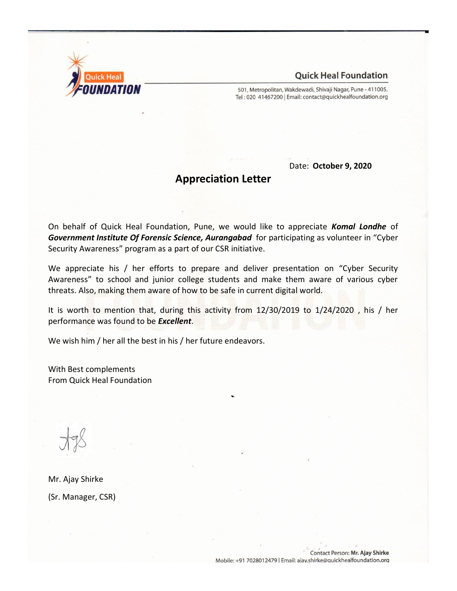

501, Metropolitan, Wakdewadi, Shivaji Nagar, Pune - 411005. Tel: 020 41467200 | Email: contact@quickhealfoundation.org

Date: **October 9, 2020**

# **Appreciation Letter**

On behalf of Quick Heal Foundation, Pune, we would like to appreciate *Komal Londhe* of *Government Institute Of Forensic Science, Aurangabad* for participating as volunteer in "Cyber Security Awareness" program as a part of our CSR initiative.

We appreciate his / her efforts to prepare and deliver presentation on "Cyber Security Awareness" to school and junior college students and make them aware of various cyber threats. Also, making them aware of how to be safe in current digital world.

It is worth to mention that, during this activity from 12/30/2019 to 1/24/2020 , his / her performance was found to be *Excellent*.

We wish him / her all the best in his / her future endeavors.

With Best complements From Quick Heal Foundation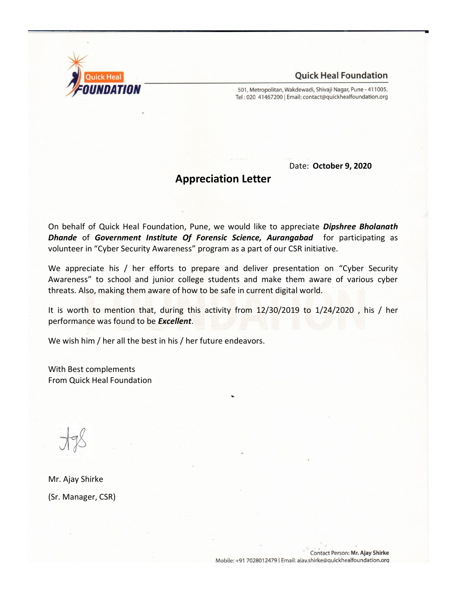

501, Metropolitan, Wakdewadi, Shivaji Nagar, Pune - 411005. Tel: 020 41467200 | Email: contact@quickhealfoundation.org

Date: **October 9, 2020**

# **Appreciation Letter**

On behalf of Quick Heal Foundation, Pune, we would like to appreciate *Dipshree Bholanath Dhande* of *Government Institute Of Forensic Science, Aurangabad* for participating as volunteer in "Cyber Security Awareness" program as a part of our CSR initiative.

We appreciate his / her efforts to prepare and deliver presentation on "Cyber Security Awareness" to school and junior college students and make them aware of various cyber threats. Also, making them aware of how to be safe in current digital world.

It is worth to mention that, during this activity from 12/30/2019 to 1/24/2020 , his / her performance was found to be *Excellent*.

We wish him / her all the best in his / her future endeavors.

With Best complements From Quick Heal Foundation

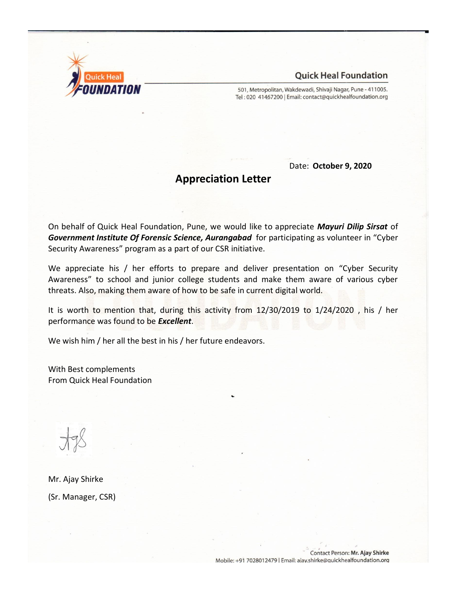

501, Metropolitan, Wakdewadi, Shivaji Nagar, Pune - 411005. Tel: 020 41467200 | Email: contact@quickhealfoundation.org

Date: **October 9, 2020**

# **Appreciation Letter**

On behalf of Quick Heal Foundation, Pune, we would like to appreciate *Mayuri Dilip Sirsat* of *Government Institute Of Forensic Science, Aurangabad* for participating as volunteer in "Cyber Security Awareness" program as a part of our CSR initiative.

We appreciate his / her efforts to prepare and deliver presentation on "Cyber Security Awareness" to school and junior college students and make them aware of various cyber threats. Also, making them aware of how to be safe in current digital world.

It is worth to mention that, during this activity from 12/30/2019 to 1/24/2020 , his / her performance was found to be *Excellent*.

We wish him / her all the best in his / her future endeavors.

With Best complements From Quick Heal Foundation

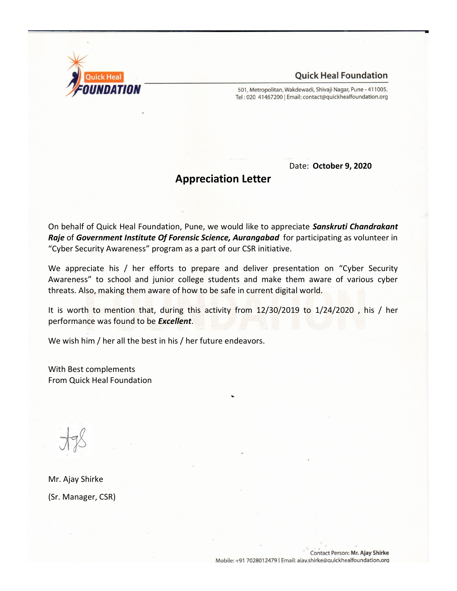

501, Metropolitan, Wakdewadi, Shivaji Nagar, Pune - 411005. Tel: 020 41467200 | Email: contact@quickhealfoundation.org

Date: **October 9, 2020**

# **Appreciation Letter**

On behalf of Quick Heal Foundation, Pune, we would like to appreciate *Sanskruti Chandrakant Raje* of *Government Institute Of Forensic Science, Aurangabad* for participating as volunteer in "Cyber Security Awareness" program as a part of our CSR initiative.

We appreciate his / her efforts to prepare and deliver presentation on "Cyber Security Awareness" to school and junior college students and make them aware of various cyber threats. Also, making them aware of how to be safe in current digital world.

It is worth to mention that, during this activity from 12/30/2019 to 1/24/2020 , his / her performance was found to be *Excellent*.

We wish him / her all the best in his / her future endeavors.

With Best complements From Quick Heal Foundation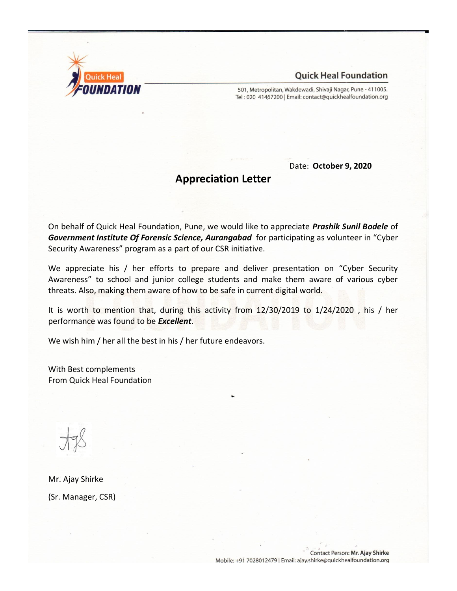

501, Metropolitan, Wakdewadi, Shivaji Nagar, Pune - 411005. Tel: 020 41467200 | Email: contact@quickhealfoundation.org

Date: **October 9, 2020**

# **Appreciation Letter**

On behalf of Quick Heal Foundation, Pune, we would like to appreciate *Prashik Sunil Bodele* of *Government Institute Of Forensic Science, Aurangabad* for participating as volunteer in "Cyber Security Awareness" program as a part of our CSR initiative.

We appreciate his / her efforts to prepare and deliver presentation on "Cyber Security Awareness" to school and junior college students and make them aware of various cyber threats. Also, making them aware of how to be safe in current digital world.

It is worth to mention that, during this activity from 12/30/2019 to 1/24/2020 , his / her performance was found to be *Excellent*.

We wish him / her all the best in his / her future endeavors.

With Best complements From Quick Heal Foundation

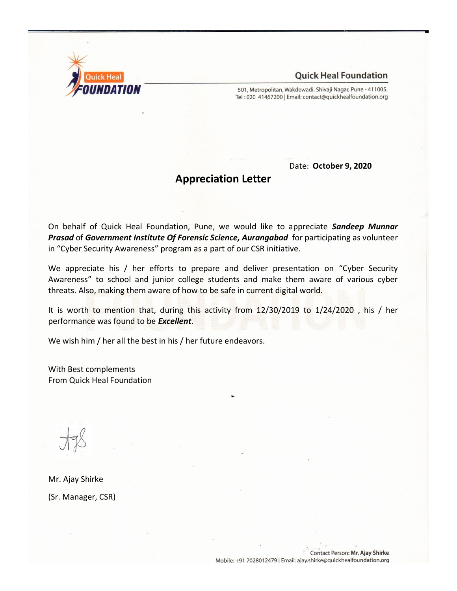

501, Metropolitan, Wakdewadi, Shivaji Nagar, Pune - 411005. Tel: 020 41467200 | Email: contact@quickhealfoundation.org

Date: **October 9, 2020**

# **Appreciation Letter**

On behalf of Quick Heal Foundation, Pune, we would like to appreciate *Sandeep Munnar Prasad* of *Government Institute Of Forensic Science, Aurangabad* for participating as volunteer in "Cyber Security Awareness" program as a part of our CSR initiative.

We appreciate his / her efforts to prepare and deliver presentation on "Cyber Security Awareness" to school and junior college students and make them aware of various cyber threats. Also, making them aware of how to be safe in current digital world.

It is worth to mention that, during this activity from 12/30/2019 to 1/24/2020 , his / her performance was found to be *Excellent*.

We wish him / her all the best in his / her future endeavors.

With Best complements From Quick Heal Foundation

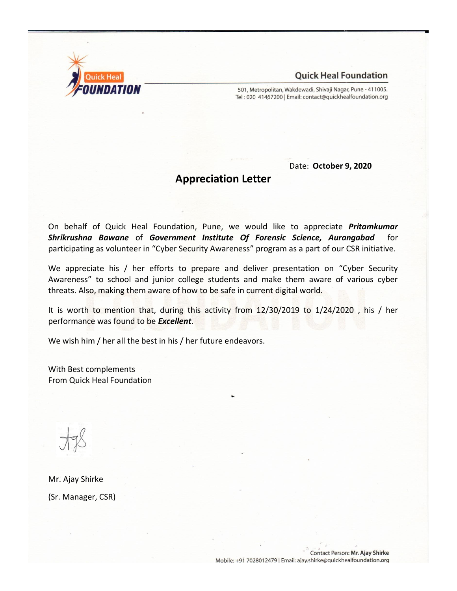

501, Metropolitan, Wakdewadi, Shivaji Nagar, Pune - 411005. Tel: 020 41467200 | Email: contact@quickhealfoundation.org

Date: **October 9, 2020**

# **Appreciation Letter**

On behalf of Quick Heal Foundation, Pune, we would like to appreciate *Pritamkumar Shrikrushna Bawane* of *Government Institute Of Forensic Science, Aurangabad* for participating as volunteer in "Cyber Security Awareness" program as a part of our CSR initiative.

We appreciate his / her efforts to prepare and deliver presentation on "Cyber Security Awareness" to school and junior college students and make them aware of various cyber threats. Also, making them aware of how to be safe in current digital world.

It is worth to mention that, during this activity from 12/30/2019 to 1/24/2020 , his / her performance was found to be *Excellent*.

We wish him / her all the best in his / her future endeavors.

With Best complements From Quick Heal Foundation

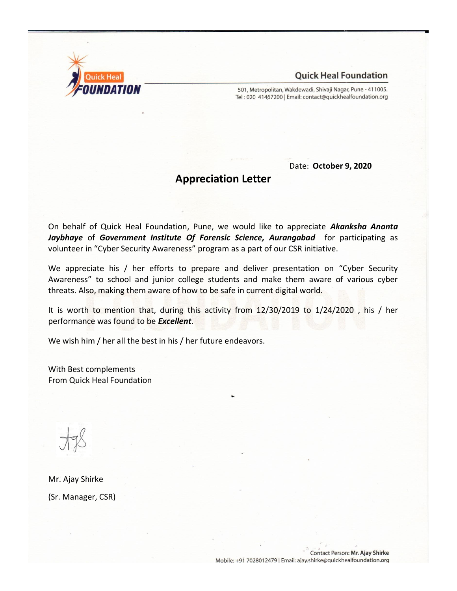

501, Metropolitan, Wakdewadi, Shivaji Nagar, Pune - 411005. Tel: 020 41467200 | Email: contact@quickhealfoundation.org

Date: **October 9, 2020**

# **Appreciation Letter**

On behalf of Quick Heal Foundation, Pune, we would like to appreciate *Akanksha Ananta Jaybhaye* of *Government Institute Of Forensic Science, Aurangabad* for participating as volunteer in "Cyber Security Awareness" program as a part of our CSR initiative.

We appreciate his / her efforts to prepare and deliver presentation on "Cyber Security Awareness" to school and junior college students and make them aware of various cyber threats. Also, making them aware of how to be safe in current digital world.

It is worth to mention that, during this activity from 12/30/2019 to 1/24/2020 , his / her performance was found to be *Excellent*.

We wish him / her all the best in his / her future endeavors.

With Best complements From Quick Heal Foundation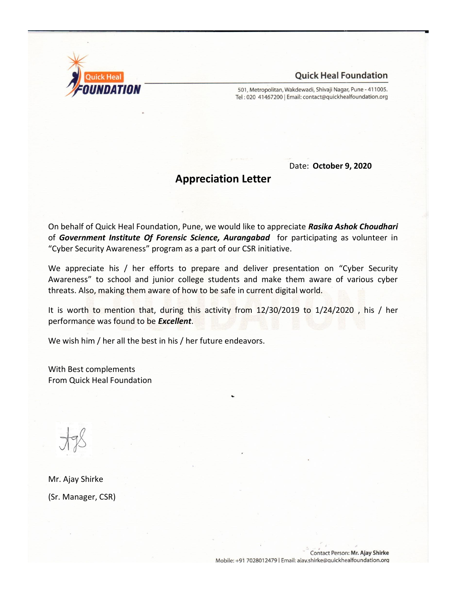

501, Metropolitan, Wakdewadi, Shivaji Nagar, Pune - 411005. Tel: 020 41467200 | Email: contact@quickhealfoundation.org

Date: **October 9, 2020**

# **Appreciation Letter**

On behalf of Quick Heal Foundation, Pune, we would like to appreciate *Rasika Ashok Choudhari* of *Government Institute Of Forensic Science, Aurangabad* for participating as volunteer in "Cyber Security Awareness" program as a part of our CSR initiative.

We appreciate his / her efforts to prepare and deliver presentation on "Cyber Security Awareness" to school and junior college students and make them aware of various cyber threats. Also, making them aware of how to be safe in current digital world.

It is worth to mention that, during this activity from 12/30/2019 to 1/24/2020 , his / her performance was found to be *Excellent*.

We wish him / her all the best in his / her future endeavors.

With Best complements From Quick Heal Foundation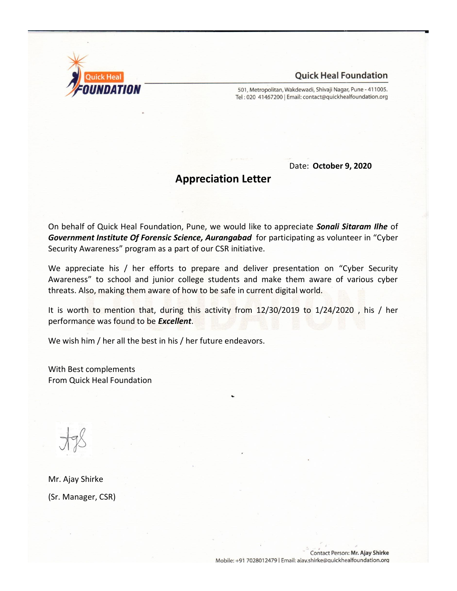

501, Metropolitan, Wakdewadi, Shivaji Nagar, Pune - 411005. Tel: 020 41467200 | Email: contact@quickhealfoundation.org

Date: **October 9, 2020**

# **Appreciation Letter**

On behalf of Quick Heal Foundation, Pune, we would like to appreciate *Sonali Sitaram Ilhe* of *Government Institute Of Forensic Science, Aurangabad* for participating as volunteer in "Cyber Security Awareness" program as a part of our CSR initiative.

We appreciate his / her efforts to prepare and deliver presentation on "Cyber Security Awareness" to school and junior college students and make them aware of various cyber threats. Also, making them aware of how to be safe in current digital world.

It is worth to mention that, during this activity from 12/30/2019 to 1/24/2020 , his / her performance was found to be *Excellent*.

We wish him / her all the best in his / her future endeavors.

With Best complements From Quick Heal Foundation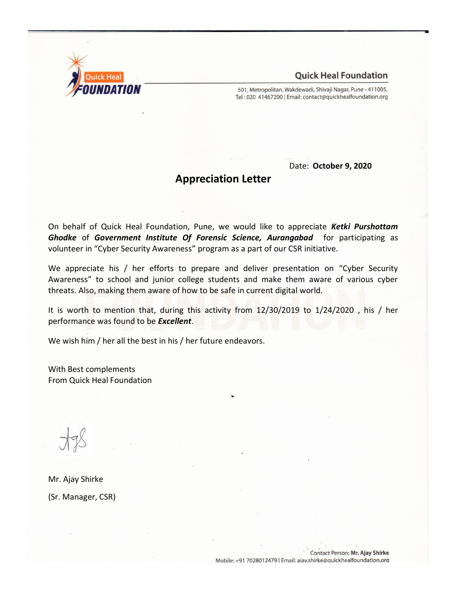

501, Metropolitan, Wakdewadi, Shivaji Nagar, Pune - 411005. Tel: 020 41467200 | Email: contact@quickhealfoundation.org

Date: **October 9, 2020**

# **Appreciation Letter**

On behalf of Quick Heal Foundation, Pune, we would like to appreciate *Ketki Purshottam Ghodke* of *Government Institute Of Forensic Science, Aurangabad* for participating as volunteer in "Cyber Security Awareness" program as a part of our CSR initiative.

We appreciate his / her efforts to prepare and deliver presentation on "Cyber Security Awareness" to school and junior college students and make them aware of various cyber threats. Also, making them aware of how to be safe in current digital world.

It is worth to mention that, during this activity from 12/30/2019 to 1/24/2020 , his / her performance was found to be *Excellent*.

We wish him / her all the best in his / her future endeavors.

With Best complements From Quick Heal Foundation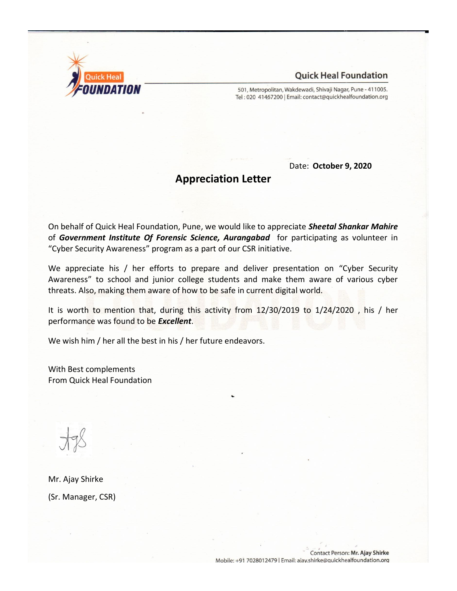

501, Metropolitan, Wakdewadi, Shivaji Nagar, Pune - 411005. Tel: 020 41467200 | Email: contact@quickhealfoundation.org

Date: **October 9, 2020**

# **Appreciation Letter**

On behalf of Quick Heal Foundation, Pune, we would like to appreciate *Sheetal Shankar Mahire* of *Government Institute Of Forensic Science, Aurangabad* for participating as volunteer in "Cyber Security Awareness" program as a part of our CSR initiative.

We appreciate his / her efforts to prepare and deliver presentation on "Cyber Security Awareness" to school and junior college students and make them aware of various cyber threats. Also, making them aware of how to be safe in current digital world.

It is worth to mention that, during this activity from 12/30/2019 to 1/24/2020 , his / her performance was found to be *Excellent*.

We wish him / her all the best in his / her future endeavors.

With Best complements From Quick Heal Foundation

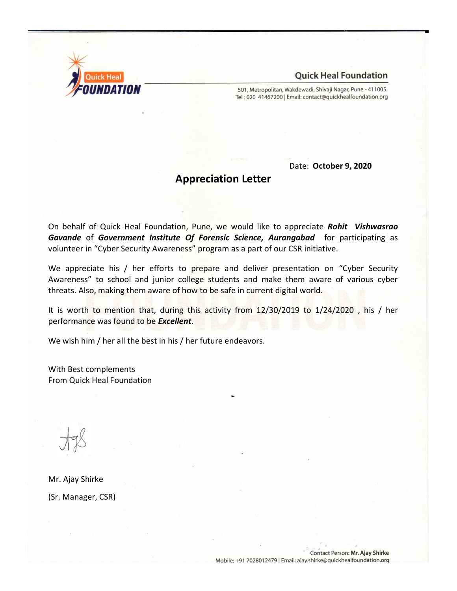

501, Metropolitan, Wakdewadi, Shivaji Nagar, Pune - 411005. Tel: 020 41467200 | Email: contact@quickhealfoundation.org

Date: **October 9, 2020**

# **Appreciation Letter**

On behalf of Quick Heal Foundation, Pune, we would like to appreciate *Rohit Vishwasrao Gavande* of *Government Institute Of Forensic Science, Aurangabad* for participating as volunteer in "Cyber Security Awareness" program as a part of our CSR initiative.

We appreciate his / her efforts to prepare and deliver presentation on "Cyber Security Awareness" to school and junior college students and make them aware of various cyber threats. Also, making them aware of how to be safe in current digital world.

It is worth to mention that, during this activity from 12/30/2019 to 1/24/2020 , his / her performance was found to be *Excellent*.

We wish him / her all the best in his / her future endeavors.

With Best complements From Quick Heal Foundation

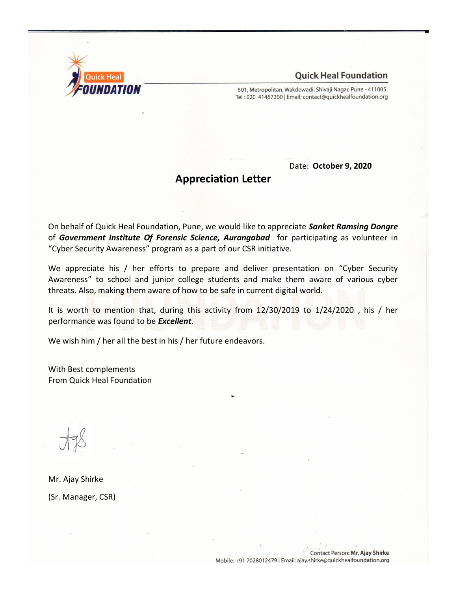

501, Metropolitan, Wakdewadi, Shivaji Nagar, Pune - 411005. Tel: 020 41467200 | Email: contact@quickhealfoundation.org

Date: **October 9, 2020**

# **Appreciation Letter**

On behalf of Quick Heal Foundation, Pune, we would like to appreciate *Sanket Ramsing Dongre* of *Government Institute Of Forensic Science, Aurangabad* for participating as volunteer in "Cyber Security Awareness" program as a part of our CSR initiative.

We appreciate his / her efforts to prepare and deliver presentation on "Cyber Security Awareness" to school and junior college students and make them aware of various cyber threats. Also, making them aware of how to be safe in current digital world.

It is worth to mention that, during this activity from 12/30/2019 to 1/24/2020 , his / her performance was found to be *Excellent*.

We wish him / her all the best in his / her future endeavors.

With Best complements From Quick Heal Foundation

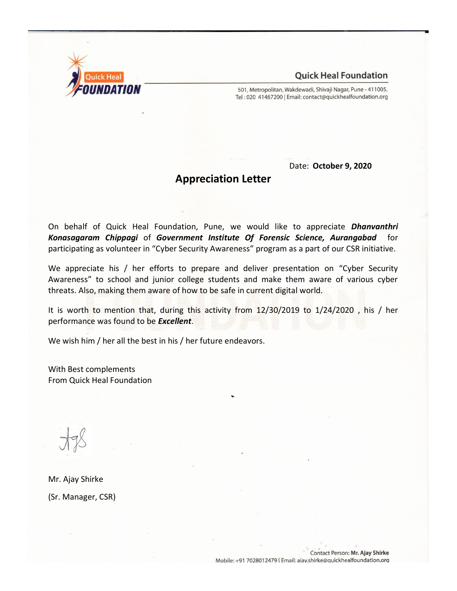

501, Metropolitan, Wakdewadi, Shivaji Nagar, Pune - 411005. Tel: 020 41467200 | Email: contact@quickhealfoundation.org

Date: **October 9, 2020**

# **Appreciation Letter**

On behalf of Quick Heal Foundation, Pune, we would like to appreciate *Dhanvanthri Konasagaram Chippagi* of *Government Institute Of Forensic Science, Aurangabad* for participating as volunteer in "Cyber Security Awareness" program as a part of our CSR initiative.

We appreciate his / her efforts to prepare and deliver presentation on "Cyber Security Awareness" to school and junior college students and make them aware of various cyber threats. Also, making them aware of how to be safe in current digital world.

It is worth to mention that, during this activity from 12/30/2019 to 1/24/2020 , his / her performance was found to be *Excellent*.

We wish him / her all the best in his / her future endeavors.

With Best complements From Quick Heal Foundation

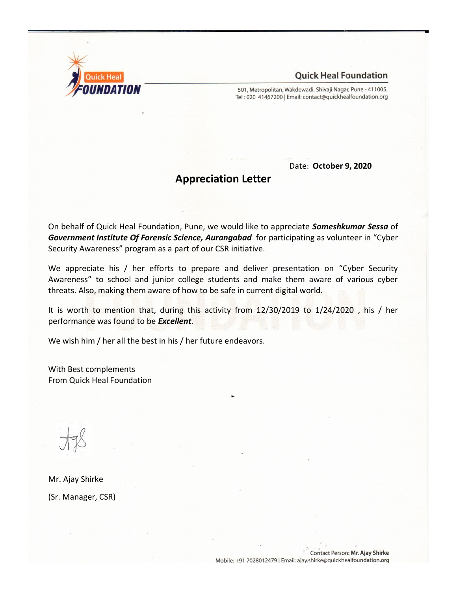

501, Metropolitan, Wakdewadi, Shivaji Nagar, Pune - 411005. Tel: 020 41467200 | Email: contact@quickhealfoundation.org

Date: **October 9, 2020**

# **Appreciation Letter**

On behalf of Quick Heal Foundation, Pune, we would like to appreciate *Someshkumar Sessa* of *Government Institute Of Forensic Science, Aurangabad* for participating as volunteer in "Cyber Security Awareness" program as a part of our CSR initiative.

We appreciate his / her efforts to prepare and deliver presentation on "Cyber Security Awareness" to school and junior college students and make them aware of various cyber threats. Also, making them aware of how to be safe in current digital world.

It is worth to mention that, during this activity from 12/30/2019 to 1/24/2020 , his / her performance was found to be *Excellent*.

We wish him / her all the best in his / her future endeavors.

With Best complements From Quick Heal Foundation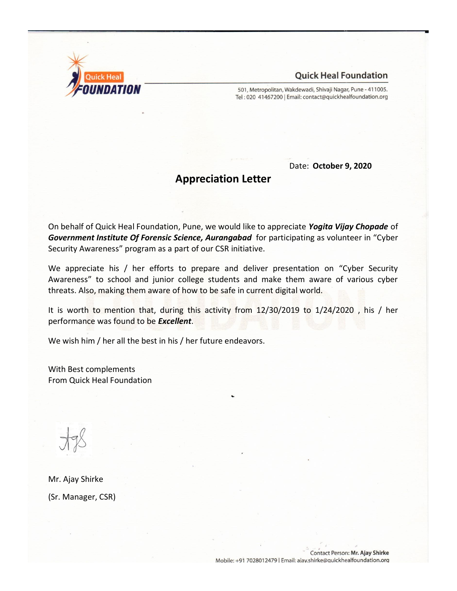

501, Metropolitan, Wakdewadi, Shivaji Nagar, Pune - 411005. Tel: 020 41467200 | Email: contact@quickhealfoundation.org

Date: **October 9, 2020**

# **Appreciation Letter**

On behalf of Quick Heal Foundation, Pune, we would like to appreciate *Yogita Vijay Chopade* of *Government Institute Of Forensic Science, Aurangabad* for participating as volunteer in "Cyber Security Awareness" program as a part of our CSR initiative.

We appreciate his / her efforts to prepare and deliver presentation on "Cyber Security Awareness" to school and junior college students and make them aware of various cyber threats. Also, making them aware of how to be safe in current digital world.

It is worth to mention that, during this activity from 12/30/2019 to 1/24/2020 , his / her performance was found to be *Excellent*.

We wish him / her all the best in his / her future endeavors.

With Best complements From Quick Heal Foundation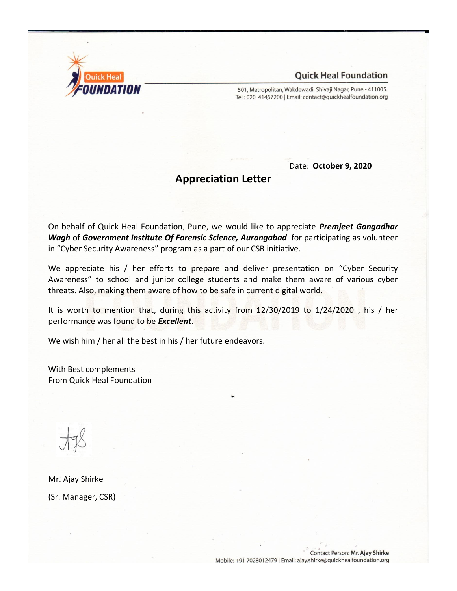

501, Metropolitan, Wakdewadi, Shivaji Nagar, Pune - 411005. Tel: 020 41467200 | Email: contact@quickhealfoundation.org

Date: **October 9, 2020**

# **Appreciation Letter**

On behalf of Quick Heal Foundation, Pune, we would like to appreciate *Premjeet Gangadhar Wagh* of *Government Institute Of Forensic Science, Aurangabad* for participating as volunteer in "Cyber Security Awareness" program as a part of our CSR initiative.

We appreciate his / her efforts to prepare and deliver presentation on "Cyber Security Awareness" to school and junior college students and make them aware of various cyber threats. Also, making them aware of how to be safe in current digital world.

It is worth to mention that, during this activity from 12/30/2019 to 1/24/2020 , his / her performance was found to be *Excellent*.

We wish him / her all the best in his / her future endeavors.

With Best complements From Quick Heal Foundation